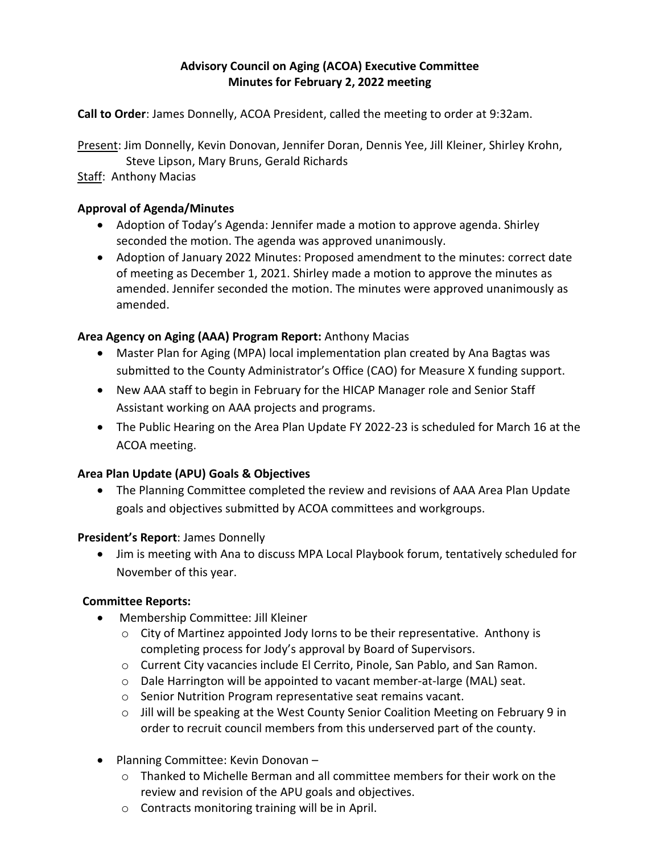# **Advisory Council on Aging (ACOA) Executive Committee Minutes for February 2, 2022 meeting**

**Call to Order**: James Donnelly, ACOA President, called the meeting to order at 9:32am.

Present: Jim Donnelly, Kevin Donovan, Jennifer Doran, Dennis Yee, Jill Kleiner, Shirley Krohn, Steve Lipson, Mary Bruns, Gerald Richards

Staff: Anthony Macias

### **Approval of Agenda/Minutes**

- Adoption of Today's Agenda: Jennifer made a motion to approve agenda. Shirley seconded the motion. The agenda was approved unanimously.
- Adoption of January 2022 Minutes: Proposed amendment to the minutes: correct date of meeting as December 1, 2021. Shirley made a motion to approve the minutes as amended. Jennifer seconded the motion. The minutes were approved unanimously as amended.

### **Area Agency on Aging (AAA) Program Report:** Anthony Macias

- Master Plan for Aging (MPA) local implementation plan created by Ana Bagtas was submitted to the County Administrator's Office (CAO) for Measure X funding support.
- New AAA staff to begin in February for the HICAP Manager role and Senior Staff Assistant working on AAA projects and programs.
- The Public Hearing on the Area Plan Update FY 2022-23 is scheduled for March 16 at the ACOA meeting.

## **Area Plan Update (APU) Goals & Objectives**

 The Planning Committee completed the review and revisions of AAA Area Plan Update goals and objectives submitted by ACOA committees and workgroups.

### **President's Report**: James Donnelly

 Jim is meeting with Ana to discuss MPA Local Playbook forum, tentatively scheduled for November of this year.

## **Committee Reports:**

- Membership Committee: Jill Kleiner
	- o City of Martinez appointed Jody Iorns to be their representative. Anthony is completing process for Jody's approval by Board of Supervisors.
	- o Current City vacancies include El Cerrito, Pinole, San Pablo, and San Ramon.
	- o Dale Harrington will be appointed to vacant member-at-large (MAL) seat.
	- o Senior Nutrition Program representative seat remains vacant.
	- o Jill will be speaking at the West County Senior Coalition Meeting on February 9 in order to recruit council members from this underserved part of the county.
- Planning Committee: Kevin Donovan
	- o Thanked to Michelle Berman and all committee members for their work on the review and revision of the APU goals and objectives.
	- o Contracts monitoring training will be in April.